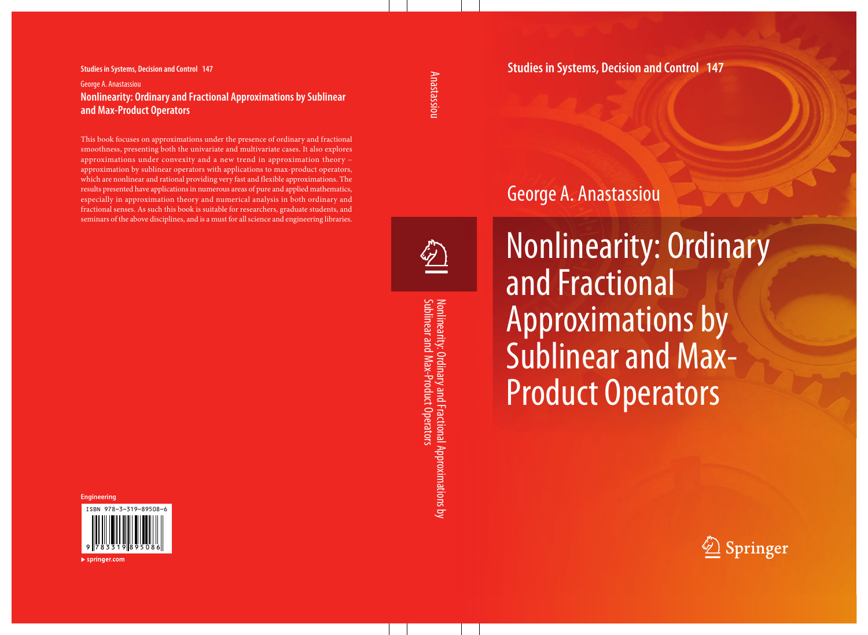#### **Studies in Systems, Decision and Control 147** George A. Anastassiou  **Nonlinearity: Ordinary and Fractional Approximations by Sublinear and Max-Product Operators**

 This book focuses on approximations under the presence of ordinary and fractional smoothness, presenting both the univariate and multivariate cases. It also explores approximations under convexity and a new trend in approximation theory – approximation by sublinear operators with applications to max-product operators, which are nonlinear and rational providing very fast and flexible approximations. The results presented have applications in numerous areas of pure and applied mathematics, especially in approximation theory and numerical analysis in both ordinary and fractional senses. As such this book is suitable for researchers, graduate students, and seminars of the above disciplines, and is a must for all science and engineering libraries.

#### **Engineering**



### **Studies in Systems, Decision and Control 147**

## George A. Anastassiou



Nonlinearity: Ordinary and Fractional Approximations by<br>Sublinear and Max-Product Operators Sublinear and Max-Product Operators Nonlinearity: Ordinary and Fractional Approximations by

Nonlinearity: Ordinary and Fractional Approximations by Sublinear and Max-Product Operators



 $\blacktriangleright$  springer.com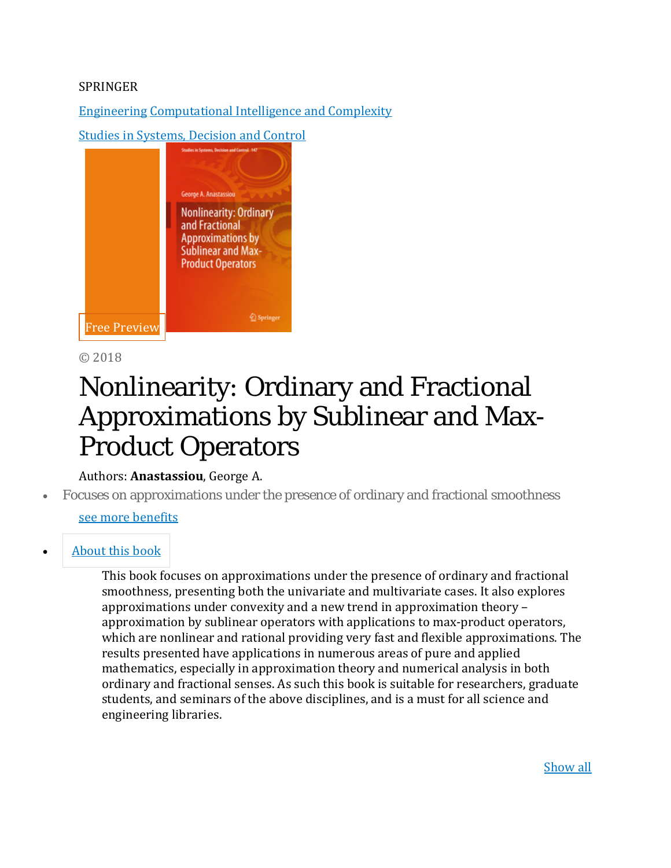#### SPRINGER

[Engineering](http://www.springer.com/engineering?SGWID=0-175-0-0-0) [Computational](http://www.springer.com/engineering/computational+intelligence+and+complexity?SGWID=0-188-0-0-0) Intelligence and Complexity

Studies [in Systems, Decision](https://www.springer.com/series/13304) and Control



© 2018

# Nonlinearity: Ordinary and Fractional Approximations by Sublinear and Max-Product Operators

#### Authors: **Anastassiou**, George A.

• Focuses on approximations under the presence of ordinary and fractional smoothness

#### [see more](https://www.springer.com/gp/book/9783319895086) benefits

#### • [About](https://www.springer.com/gp/book/9783319895086#aboutBook) this book

This book focuses on approximations under the presence of ordinary and fractional smoothness, presenting both the univariate and multivariate cases. It also explores approximations under convexity and a new trend in approximation theory – approximation by sublinear operators with applications to max-product operators, which are nonlinear and rational providing very fast and flexible approximations. The results presented have applications in numerous areas of pure and applied mathematics, especially in approximation theory and numerical analysis in both ordinary and fractional senses. As such this book is suitable for researchers, graduate students, and seminars of the above disciplines, and is a must for all science and engineering libraries.

[Show](https://www.springer.com/gp/book/9783319895086) all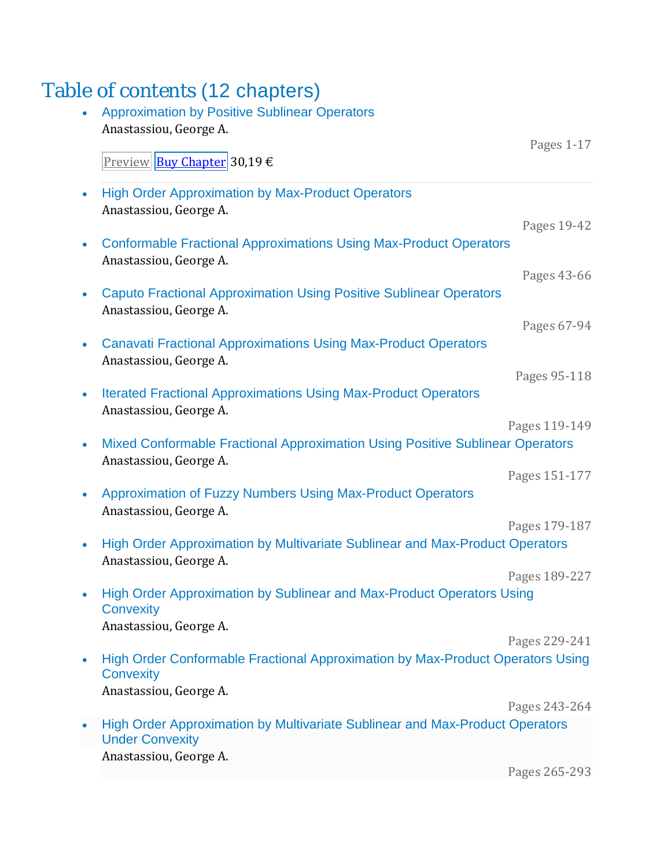## Table of contents (12 chapters)

| <b>Approximation by Positive Sublinear Operators</b><br>Anastassiou, George A.                                               |               |
|------------------------------------------------------------------------------------------------------------------------------|---------------|
| <u>Preview Buy Chapter</u> 30,19 €                                                                                           | Pages 1-17    |
| <b>High Order Approximation by Max-Product Operators</b><br>Anastassiou, George A.                                           |               |
| <b>Conformable Fractional Approximations Using Max-Product Operators</b>                                                     | Pages 19-42   |
| Anastassiou, George A.                                                                                                       | Pages 43-66   |
| <b>Caputo Fractional Approximation Using Positive Sublinear Operators</b><br>Anastassiou, George A.                          |               |
| <b>Canavati Fractional Approximations Using Max-Product Operators</b><br>Anastassiou, George A.                              | Pages 67-94   |
| <b>Iterated Fractional Approximations Using Max-Product Operators</b>                                                        | Pages 95-118  |
| Anastassiou, George A.                                                                                                       | Pages 119-149 |
| Mixed Conformable Fractional Approximation Using Positive Sublinear Operators<br>Anastassiou, George A.                      |               |
| Approximation of Fuzzy Numbers Using Max-Product Operators<br>Anastassiou, George A.                                         | Pages 151-177 |
| Pages 179-187<br>High Order Approximation by Multivariate Sublinear and Max-Product Operators<br>Anastassiou, George A.      |               |
| High Order Approximation by Sublinear and Max-Product Operators Using                                                        | Pages 189-227 |
| <b>Convexity</b><br>Anastassiou, George A.                                                                                   |               |
| High Order Conformable Fractional Approximation by Max-Product Operators Using<br><b>Convexity</b><br>Anastassiou, George A. | Pages 229-241 |
|                                                                                                                              | Pages 243-264 |
| High Order Approximation by Multivariate Sublinear and Max-Product Operators<br><b>Under Convexity</b>                       |               |
| Anastassiou, George A.                                                                                                       | Pages 265-293 |